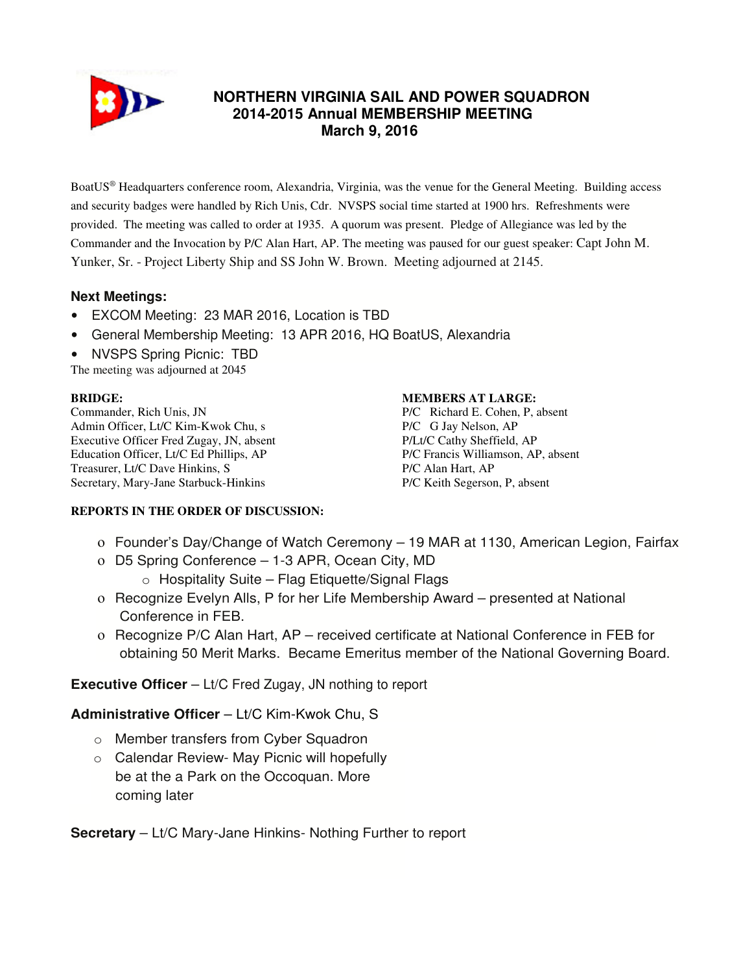

# **NORTHERN VIRGINIA SAIL AND POWER SQUADRON 2014-2015 Annual MEMBERSHIP MEETING March 9, 2016**

BoatUS® Headquarters conference room, Alexandria, Virginia, was the venue for the General Meeting. Building access and security badges were handled by Rich Unis, Cdr. NVSPS social time started at 1900 hrs. Refreshments were provided. The meeting was called to order at 1935. A quorum was present. Pledge of Allegiance was led by the Commander and the Invocation by P/C Alan Hart, AP. The meeting was paused for our guest speaker: Capt John M. Yunker, Sr. - Project Liberty Ship and SS John W. Brown. Meeting adjourned at 2145.

# **Next Meetings:**

- EXCOM Meeting: 23 MAR 2016, Location is TBD
- General Membership Meeting: 13 APR 2016, HQ BoatUS, Alexandria
- NVSPS Spring Picnic: TBD

The meeting was adjourned at 2045

### **BRIDGE:**

Commander, Rich Unis, JN Admin Officer, Lt/C Kim-Kwok Chu, s Executive Officer Fred Zugay, JN, absent Education Officer, Lt/C Ed Phillips, AP Treasurer, Lt/C Dave Hinkins, S Secretary, Mary-Jane Starbuck-Hinkins

#### **MEMBERS AT LARGE:**

P/C Richard E. Cohen, P, absent P/C G Jay Nelson, AP P/Lt/C Cathy Sheffield, AP P/C Francis Williamson, AP, absent P/C Alan Hart, AP P/C Keith Segerson, P, absent

### **REPORTS IN THE ORDER OF DISCUSSION:**

- ο Founder's Day/Change of Watch Ceremony 19 MAR at 1130, American Legion, Fairfax
- ο D5 Spring Conference 1-3 APR, Ocean City, MD
	- $\circ$  Hospitality Suite Flag Etiquette/Signal Flags
- ο Recognize Evelyn Alls, P for her Life Membership Award presented at National Conference in FEB.
- ο Recognize P/C Alan Hart, AP received certificate at National Conference in FEB for obtaining 50 Merit Marks. Became Emeritus member of the National Governing Board.

**Executive Officer** – Lt/C Fred Zugay, JN nothing to report

## **Administrative Officer** – Lt/C Kim-Kwok Chu, S

- o Member transfers from Cyber Squadron
- o Calendar Review- May Picnic will hopefully be at the a Park on the Occoquan. More coming later

**Secretary** – Lt/C Mary-Jane Hinkins- Nothing Further to report